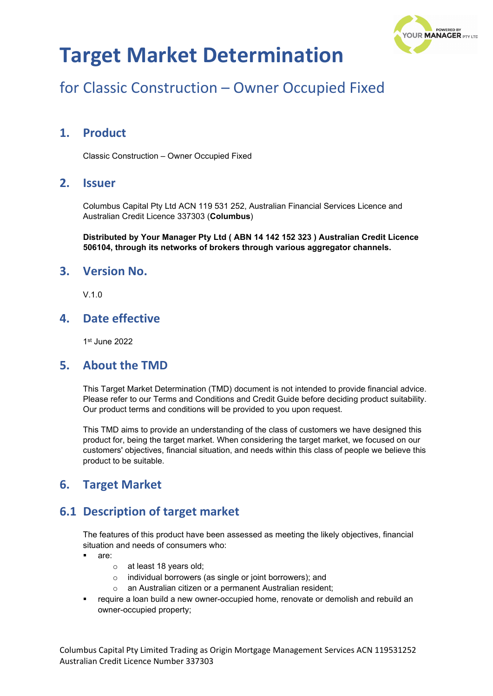

## for Classic Construction – Owner Occupied Fixed

### **1. Product**

Classic Construction – Owner Occupied Fixed

#### **2. Issuer**

Columbus Capital Pty Ltd ACN 119 531 252, Australian Financial Services Licence and Australian Credit Licence 337303 (**Columbus**)

**Distributed by Your Manager Pty Ltd ( ABN 14 142 152 323 ) Australian Credit Licence 506104, through its networks of brokers through various aggregator channels.**

#### **3. Version No.**

V.1.0

### **4. Date effective**

1st June 2022

#### **5. About the TMD**

This Target Market Determination (TMD) document is not intended to provide financial advice. Please refer to our Terms and Conditions and Credit Guide before deciding product suitability. Our product terms and conditions will be provided to you upon request.

This TMD aims to provide an understanding of the class of customers we have designed this product for, being the target market. When considering the target market, we focused on our customers' objectives, financial situation, and needs within this class of people we believe this product to be suitable.

### **6. Target Market**

### **6.1 Description of target market**

The features of this product have been assessed as meeting the likely objectives, financial situation and needs of consumers who:

- are:
	- o at least 18 years old;
	- o individual borrowers (as single or joint borrowers); and
	- o an Australian citizen or a permanent Australian resident;
- require a loan build a new owner-occupied home, renovate or demolish and rebuild an owner-occupied property;

Columbus Capital Pty Limited Trading as Origin Mortgage Management Services ACN 119531252 Australian Credit Licence Number 337303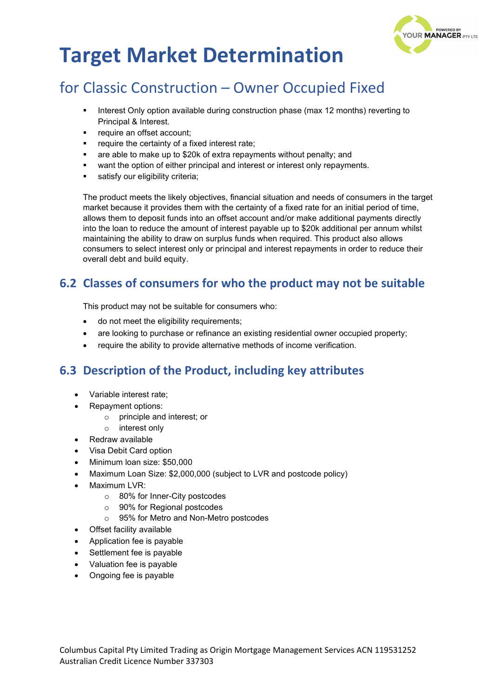

## for Classic Construction – Owner Occupied Fixed

- Interest Only option available during construction phase (max 12 months) reverting to Principal & Interest.
- require an offset account;
- require the certainty of a fixed interest rate;
- are able to make up to \$20k of extra repayments without penalty; and
- want the option of either principal and interest or interest only repayments.
- satisfy our eligibility criteria;

The product meets the likely objectives, financial situation and needs of consumers in the target market because it provides them with the certainty of a fixed rate for an initial period of time, allows them to deposit funds into an offset account and/or make additional payments directly into the loan to reduce the amount of interest payable up to \$20k additional per annum whilst maintaining the ability to draw on surplus funds when required. This product also allows consumers to select interest only or principal and interest repayments in order to reduce their overall debt and build equity.

## **6.2 Classes of consumers for who the product may not be suitable**

This product may not be suitable for consumers who:

- do not meet the eligibility requirements;
- are looking to purchase or refinance an existing residential owner occupied property;
- require the ability to provide alternative methods of income verification.

## **6.3 Description of the Product, including key attributes**

- Variable interest rate;
- Repayment options:
	- o principle and interest; or
	- o interest only
- Redraw available
- Visa Debit Card option
- Minimum loan size: \$50,000
- Maximum Loan Size: \$2,000,000 (subject to LVR and postcode policy)
- Maximum LVR:
	- o 80% for Inner-City postcodes
	- o 90% for Regional postcodes
	- o 95% for Metro and Non-Metro postcodes
- Offset facility available
- Application fee is payable
- Settlement fee is payable
- Valuation fee is payable
- Ongoing fee is payable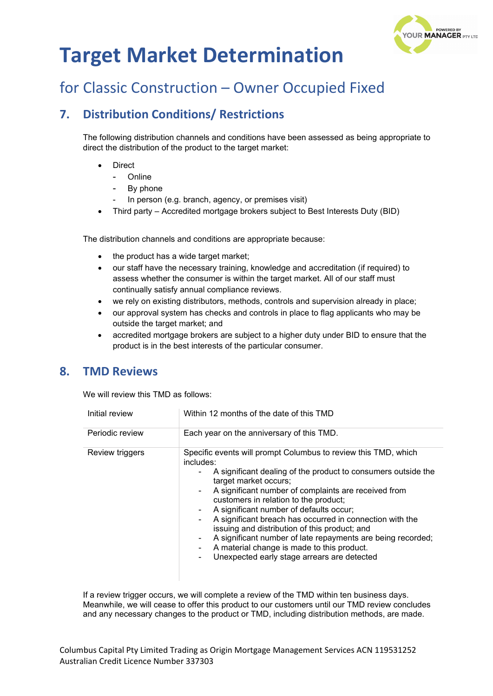

## for Classic Construction – Owner Occupied Fixed

## **7. Distribution Conditions/ Restrictions**

The following distribution channels and conditions have been assessed as being appropriate to direct the distribution of the product to the target market:

- **Direct** 
	- **Online**
	- By phone
	- In person (e.g. branch, agency, or premises visit)
- Third party Accredited mortgage brokers subject to Best Interests Duty (BID)

The distribution channels and conditions are appropriate because:

- the product has a wide target market;
- our staff have the necessary training, knowledge and accreditation (if required) to assess whether the consumer is within the target market. All of our staff must continually satisfy annual compliance reviews.
- we rely on existing distributors, methods, controls and supervision already in place;
- our approval system has checks and controls in place to flag applicants who may be outside the target market; and
- accredited mortgage brokers are subject to a higher duty under BID to ensure that the product is in the best interests of the particular consumer.

### **8. TMD Reviews**

We will review this TMD as follows:

| Initial review  | Within 12 months of the date of this TMD                                                                                                                                                                                                                                                                                                                                                                                                                                                                                                                                                                                         |  |
|-----------------|----------------------------------------------------------------------------------------------------------------------------------------------------------------------------------------------------------------------------------------------------------------------------------------------------------------------------------------------------------------------------------------------------------------------------------------------------------------------------------------------------------------------------------------------------------------------------------------------------------------------------------|--|
| Periodic review | Each year on the anniversary of this TMD.                                                                                                                                                                                                                                                                                                                                                                                                                                                                                                                                                                                        |  |
| Review triggers | Specific events will prompt Columbus to review this TMD, which<br>includes:<br>A significant dealing of the product to consumers outside the<br>۰.<br>target market occurs;<br>A significant number of complaints are received from<br>$\sim$<br>customers in relation to the product;<br>A significant number of defaults occur;<br>۰<br>A significant breach has occurred in connection with the<br>۰.<br>issuing and distribution of this product; and<br>A significant number of late repayments are being recorded;<br>۰<br>A material change is made to this product.<br>Unexpected early stage arrears are detected<br>۰. |  |

If a review trigger occurs, we will complete a review of the TMD within ten business days. Meanwhile, we will cease to offer this product to our customers until our TMD review concludes and any necessary changes to the product or TMD, including distribution methods, are made.